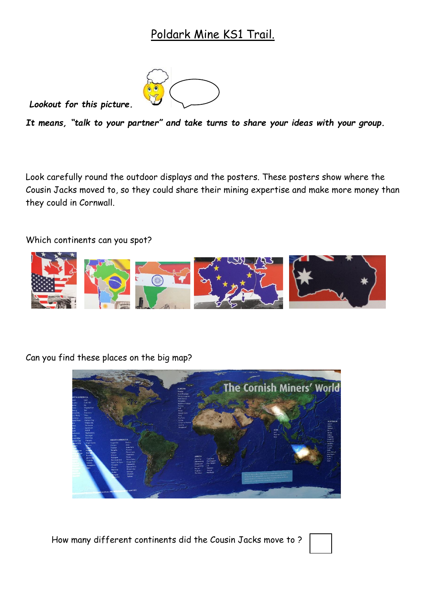## Poldark Mine KS1 Trail.



*Lookout for this picture.* 

*It means, "talk to your partner" and take turns to share your ideas with your group.*

Look carefully round the outdoor displays and the posters. These posters show where the Cousin Jacks moved to, so they could share their mining expertise and make more money than they could in Cornwall.

Which continents can you spot?



Can you find these places on the big map?



How many different continents did the Cousin Jacks move to ?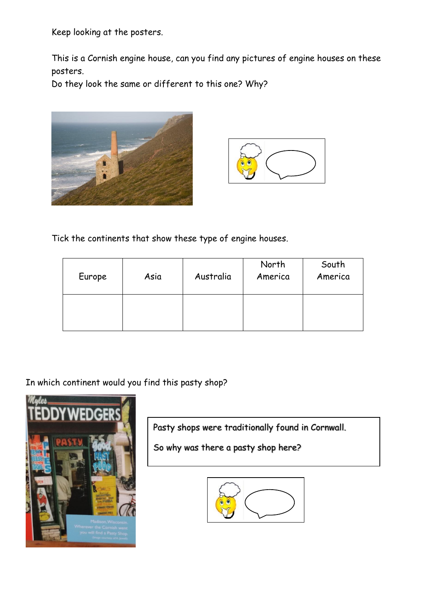Keep looking at the posters.

This is a Cornish engine house, can you find any pictures of engine houses on these posters.

Do they look the same or different to this one? Why?





Tick the continents that show these type of engine houses.

| Europe | Asia | Australia | North<br>America | South<br>America |
|--------|------|-----------|------------------|------------------|
|        |      |           |                  |                  |

In which continent would you find this pasty shop?



Pasty shops were traditionally found in Cornwall.

So why was there a pasty shop here?

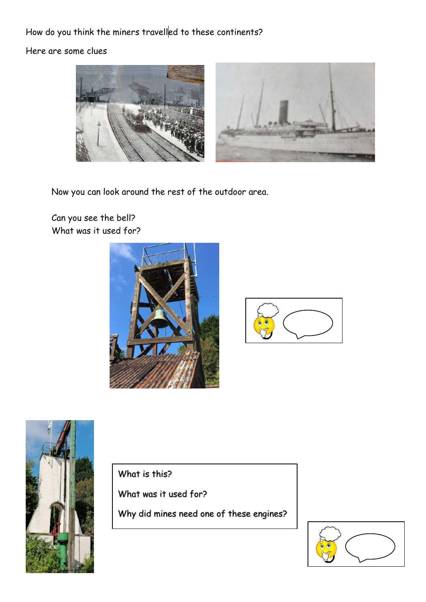### How do you think the miners travelled to these continents?

Here are some clues



Now you can look around the rest of the outdoor area.

Can you see the bell? What was it used for?







What is this?

What was it used for?

Why did mines need one of these engines?

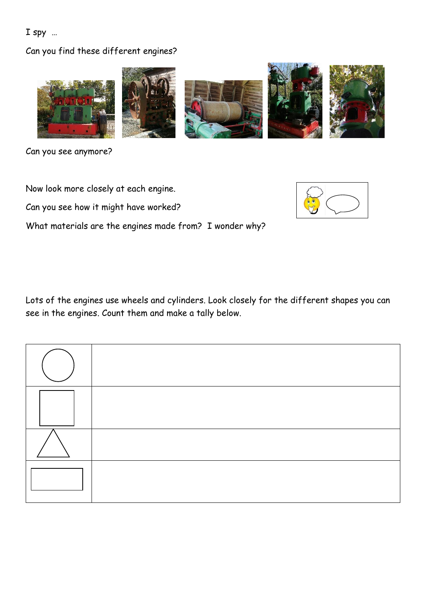#### I spy …

#### Can you find these different engines?



Can you see anymore?

Now look more closely at each engine.

Can you see how it might have worked?

What materials are the engines made from? I wonder why?



Lots of the engines use wheels and cylinders. Look closely for the different shapes you can see in the engines. Count them and make a tally below.